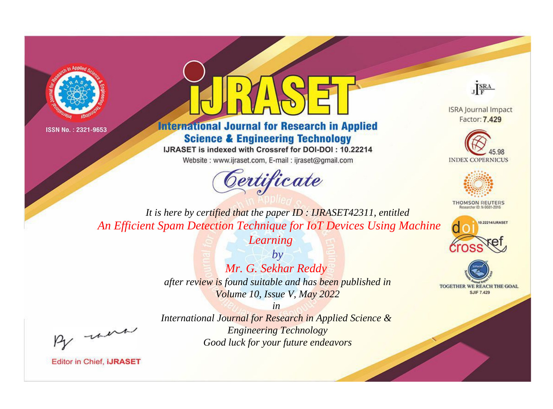



**International Journal for Research in Applied Science & Engineering Technology** 

IJRASET is indexed with Crossref for DOI-DOI: 10.22214

Website: www.ijraset.com, E-mail: ijraset@gmail.com





**ISRA Journal Impact** Factor: 7.429





**THOMSON REUTERS** 



TOGETHER WE REACH THE GOAL **SJIF 7.429** 

*It is here by certified that the paper ID : IJRASET42311, entitled An Efficient Spam Detection Technique for IoT Devices Using Machine* 

*Learning*

*by Mr. G. Sekhar Reddy after review is found suitable and has been published in Volume 10, Issue V, May 2022*

, un

*International Journal for Research in Applied Science & Engineering Technology Good luck for your future endeavors*

*in*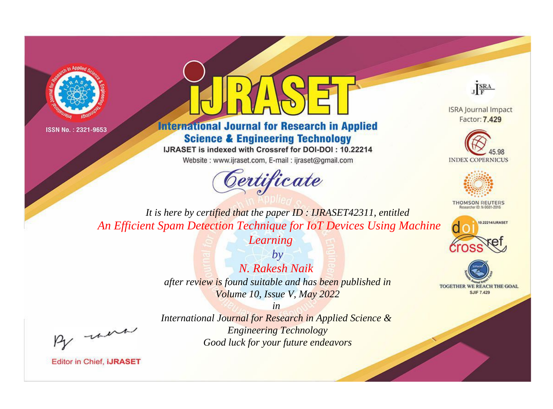



## **International Journal for Research in Applied Science & Engineering Technology**

IJRASET is indexed with Crossref for DOI-DOI: 10.22214

Website: www.ijraset.com, E-mail: ijraset@gmail.com



JERA

**ISRA Journal Impact** Factor: 7.429





**THOMSON REUTERS** 



TOGETHER WE REACH THE GOAL **SJIF 7.429** 

It is here by certified that the paper ID: IJRASET42311, entitled An Efficient Spam Detection Technique for IoT Devices Using Machine

Learning

 $b\nu$ N. Rakesh Naik after review is found suitable and has been published in Volume 10, Issue V, May 2022

were

International Journal for Research in Applied Science & **Engineering Technology** Good luck for your future endeavors

 $in$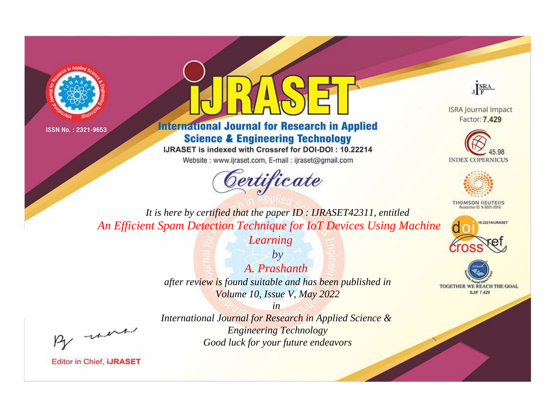



## **International Journal for Research in Applied Science & Engineering Technology**

IJRASET is indexed with Crossref for DOI-DOI: 10.22214

Website: www.ijraset.com, E-mail: ijraset@gmail.com





**ISRA Journal Impact** Factor: 7.429





**THOMSON REUTERS** 



TOGETHER WE REACH THE GOAL **SJIF 7.429** 

*It is here by certified that the paper ID : IJRASET42311, entitled An Efficient Spam Detection Technique for IoT Devices Using Machine* 

*Learning*

*by A. Prashanth after review is found suitable and has been published in Volume 10, Issue V, May 2022*

, un

*International Journal for Research in Applied Science & Engineering Technology Good luck for your future endeavors*

*in*